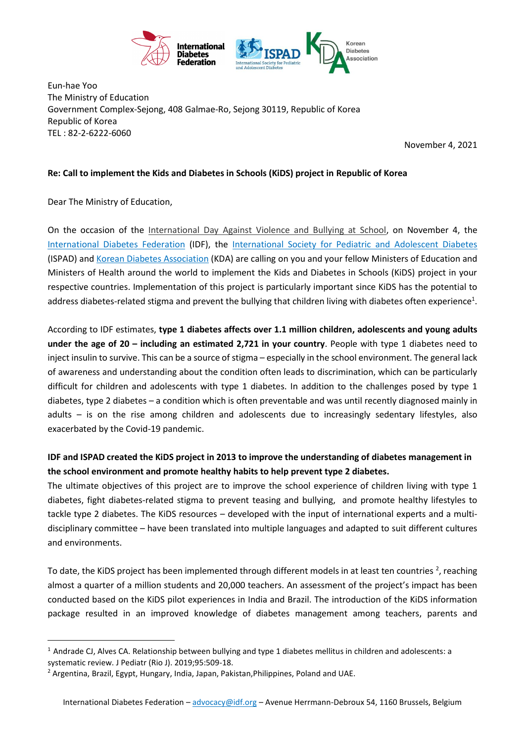

Eun-hae Yoo The Ministry of Education Government Complex-Sejong, 408 Galmae-Ro, Sejong 30119, Republic of Korea Republic of Korea TEL : 82-2-6222-6060

November 4, 2021

## **Re: Call to implement the Kids and Diabetes in Schools (KiDS) project in Republic of Korea**

Dear The Ministry of Education,

 $\overline{\phantom{a}}$ 

On the occasion of the [International Day Against Violence and Bullying at School,](https://en.unesco.org/commemorations/dayagainstschoolviolenceandbullying) on November 4, the [International Diabetes Federation](https://idf.org/) (IDF), the [International Society for Pediatric and Adolescent Diabetes](https://www.ispad.org/) (ISPAD) and Korean Diabetes Association (KDA) are calling on you and your fellow Ministers of Education and Ministers of Health around the world to implement the Kids and Diabetes in Schools (KiDS) project in your respective countries. Implementation of this project is particularly important since KiDS has the potential to address diabetes-related stigma and prevent the bullying that children living with diabetes often experience<sup>1</sup>.

According to IDF estimates, **type 1 diabetes affects over 1.1 million children, adolescents and young adults under the age of 20 – including an estimated 2,721 in your country**. People with type 1 diabetes need to inject insulin to survive. This can be a source of stigma – especially in the school environment. The general lack of awareness and understanding about the condition often leads to discrimination, which can be particularly difficult for children and adolescents with type 1 diabetes. In addition to the challenges posed by type 1 diabetes, type 2 diabetes – a condition which is often preventable and was until recently diagnosed mainly in adults – is on the rise among children and adolescents due to increasingly sedentary lifestyles, also exacerbated by the Covid-19 pandemic.

## **IDF and ISPAD created the KiDS project in 2013 to improve the understanding of diabetes management in the school environment and promote healthy habits to help prevent type 2 diabetes.**

The ultimate objectives of this project are to improve the school experience of children living with type 1 diabetes, fight diabetes-related stigma to prevent teasing and bullying, and promote healthy lifestyles to tackle type 2 diabetes. The KiDS resources – developed with the input of international experts and a multidisciplinary committee – have been translated into multiple languages and adapted to suit different cultures and environments.

To date, the KiDS project has been implemented through different models in at least ten countries <sup>2</sup>, reaching almost a quarter of a million students and 20,000 teachers. An assessment of the project's impact has been conducted based on the KiDS pilot experiences in India and Brazil. The introduction of the KiDS information package resulted in an improved knowledge of diabetes management among teachers, parents and

 $1$  Andrade CJ, Alves CA. Relationship between bullying and type 1 diabetes mellitus in children and adolescents: a systematic review. J Pediatr (Rio J). 2019;95:509-18.

<sup>&</sup>lt;sup>2</sup> Argentina, Brazil, Egypt, Hungary, India, Japan, Pakistan, Philippines, Poland and UAE.